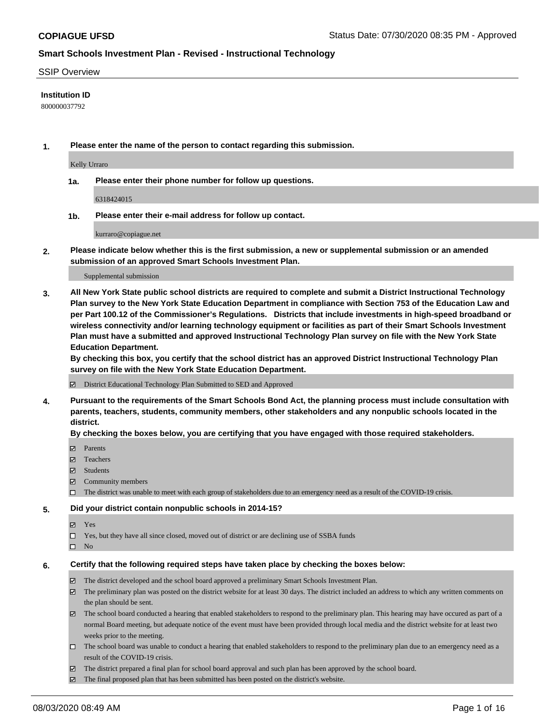#### SSIP Overview

### **Institution ID**

800000037792

**1. Please enter the name of the person to contact regarding this submission.**

Kelly Urraro

**1a. Please enter their phone number for follow up questions.**

6318424015

**1b. Please enter their e-mail address for follow up contact.**

kurraro@copiague.net

**2. Please indicate below whether this is the first submission, a new or supplemental submission or an amended submission of an approved Smart Schools Investment Plan.**

#### Supplemental submission

**3. All New York State public school districts are required to complete and submit a District Instructional Technology Plan survey to the New York State Education Department in compliance with Section 753 of the Education Law and per Part 100.12 of the Commissioner's Regulations. Districts that include investments in high-speed broadband or wireless connectivity and/or learning technology equipment or facilities as part of their Smart Schools Investment Plan must have a submitted and approved Instructional Technology Plan survey on file with the New York State Education Department.** 

**By checking this box, you certify that the school district has an approved District Instructional Technology Plan survey on file with the New York State Education Department.**

District Educational Technology Plan Submitted to SED and Approved

**4. Pursuant to the requirements of the Smart Schools Bond Act, the planning process must include consultation with parents, teachers, students, community members, other stakeholders and any nonpublic schools located in the district.** 

#### **By checking the boxes below, you are certifying that you have engaged with those required stakeholders.**

- **Ø** Parents
- Teachers
- Students
- $\boxtimes$  Community members
- The district was unable to meet with each group of stakeholders due to an emergency need as a result of the COVID-19 crisis.

#### **5. Did your district contain nonpublic schools in 2014-15?**

- **冈** Yes
- Yes, but they have all since closed, moved out of district or are declining use of SSBA funds
- $\square$  No

#### **6. Certify that the following required steps have taken place by checking the boxes below:**

- The district developed and the school board approved a preliminary Smart Schools Investment Plan.
- $\boxtimes$  The preliminary plan was posted on the district website for at least 30 days. The district included an address to which any written comments on the plan should be sent.
- The school board conducted a hearing that enabled stakeholders to respond to the preliminary plan. This hearing may have occured as part of a normal Board meeting, but adequate notice of the event must have been provided through local media and the district website for at least two weeks prior to the meeting.
- The school board was unable to conduct a hearing that enabled stakeholders to respond to the preliminary plan due to an emergency need as a result of the COVID-19 crisis.
- The district prepared a final plan for school board approval and such plan has been approved by the school board.
- $\boxtimes$  The final proposed plan that has been submitted has been posted on the district's website.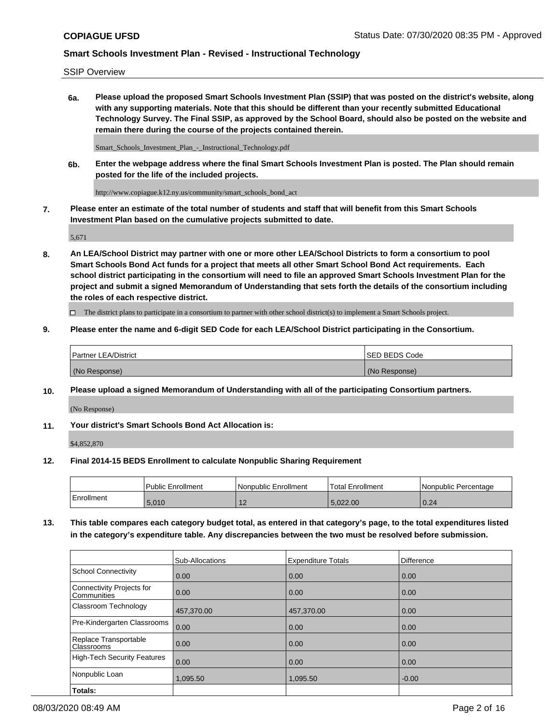SSIP Overview

**6a. Please upload the proposed Smart Schools Investment Plan (SSIP) that was posted on the district's website, along with any supporting materials. Note that this should be different than your recently submitted Educational Technology Survey. The Final SSIP, as approved by the School Board, should also be posted on the website and remain there during the course of the projects contained therein.**

Smart\_Schools\_Investment\_Plan\_-\_Instructional\_Technology.pdf

**6b. Enter the webpage address where the final Smart Schools Investment Plan is posted. The Plan should remain posted for the life of the included projects.**

http://www.copiague.k12.ny.us/community/smart\_schools\_bond\_act

**7. Please enter an estimate of the total number of students and staff that will benefit from this Smart Schools Investment Plan based on the cumulative projects submitted to date.**

5,671

**8. An LEA/School District may partner with one or more other LEA/School Districts to form a consortium to pool Smart Schools Bond Act funds for a project that meets all other Smart School Bond Act requirements. Each school district participating in the consortium will need to file an approved Smart Schools Investment Plan for the project and submit a signed Memorandum of Understanding that sets forth the details of the consortium including the roles of each respective district.**

 $\Box$  The district plans to participate in a consortium to partner with other school district(s) to implement a Smart Schools project.

### **9. Please enter the name and 6-digit SED Code for each LEA/School District participating in the Consortium.**

| <b>Partner LEA/District</b> | ISED BEDS Code |
|-----------------------------|----------------|
| (No Response)               | (No Response)  |

### **10. Please upload a signed Memorandum of Understanding with all of the participating Consortium partners.**

(No Response)

**11. Your district's Smart Schools Bond Act Allocation is:**

\$4,852,870

#### **12. Final 2014-15 BEDS Enrollment to calculate Nonpublic Sharing Requirement**

|            | Public Enrollment | Nonpublic Enrollment | Total Enrollment | l Nonpublic Percentage |
|------------|-------------------|----------------------|------------------|------------------------|
| Enrollment | 5,010             | . .                  | ററ<br>022.00     | 0.24                   |

**13. This table compares each category budget total, as entered in that category's page, to the total expenditures listed in the category's expenditure table. Any discrepancies between the two must be resolved before submission.**

|                                          | Sub-Allocations | <b>Expenditure Totals</b> | <b>Difference</b> |
|------------------------------------------|-----------------|---------------------------|-------------------|
| <b>School Connectivity</b>               | 0.00            | 0.00                      | 0.00              |
| Connectivity Projects for<br>Communities | 0.00            | 0.00                      | 0.00              |
| Classroom Technology                     | 457,370.00      | 457,370.00                | 0.00              |
| Pre-Kindergarten Classrooms              | 0.00            | 0.00                      | 0.00              |
| Replace Transportable<br>Classrooms      | 0.00            | 0.00                      | 0.00              |
| <b>High-Tech Security Features</b>       | 0.00            | 0.00                      | 0.00              |
| Nonpublic Loan                           | 1,095.50        | 1,095.50                  | $-0.00$           |
| Totals:                                  |                 |                           |                   |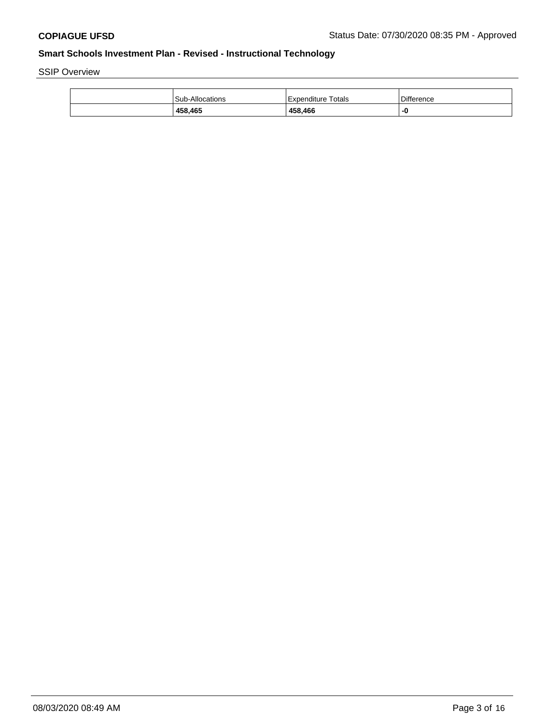SSIP Overview

| 458,465                | 458,466            | -0         |
|------------------------|--------------------|------------|
| <b>Sub-Allocations</b> | Expenditure Totals | Difference |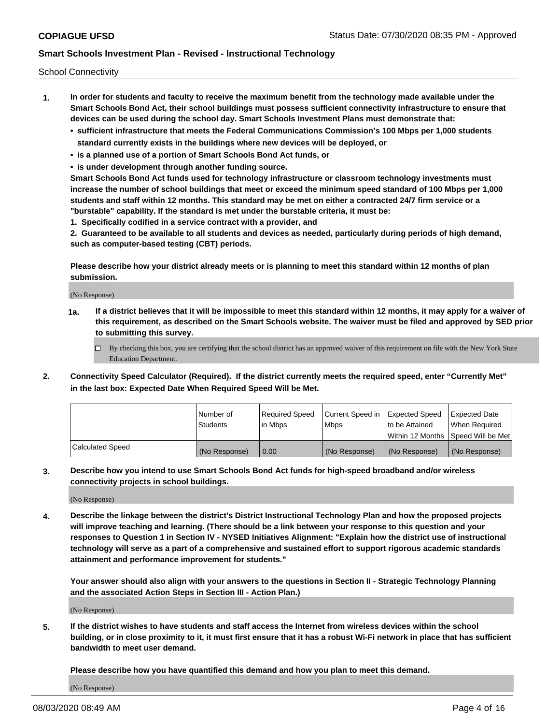School Connectivity

- **1. In order for students and faculty to receive the maximum benefit from the technology made available under the Smart Schools Bond Act, their school buildings must possess sufficient connectivity infrastructure to ensure that devices can be used during the school day. Smart Schools Investment Plans must demonstrate that:**
	- **• sufficient infrastructure that meets the Federal Communications Commission's 100 Mbps per 1,000 students standard currently exists in the buildings where new devices will be deployed, or**
	- **• is a planned use of a portion of Smart Schools Bond Act funds, or**
	- **• is under development through another funding source.**

**Smart Schools Bond Act funds used for technology infrastructure or classroom technology investments must increase the number of school buildings that meet or exceed the minimum speed standard of 100 Mbps per 1,000 students and staff within 12 months. This standard may be met on either a contracted 24/7 firm service or a "burstable" capability. If the standard is met under the burstable criteria, it must be:**

**1. Specifically codified in a service contract with a provider, and**

**2. Guaranteed to be available to all students and devices as needed, particularly during periods of high demand, such as computer-based testing (CBT) periods.**

**Please describe how your district already meets or is planning to meet this standard within 12 months of plan submission.**

(No Response)

**1a. If a district believes that it will be impossible to meet this standard within 12 months, it may apply for a waiver of this requirement, as described on the Smart Schools website. The waiver must be filed and approved by SED prior to submitting this survey.**

 $\Box$  By checking this box, you are certifying that the school district has an approved waiver of this requirement on file with the New York State Education Department.

**2. Connectivity Speed Calculator (Required). If the district currently meets the required speed, enter "Currently Met" in the last box: Expected Date When Required Speed Will be Met.**

|                  | l Number of     | Required Speed | Current Speed in | Expected Speed  | Expected Date                           |
|------------------|-----------------|----------------|------------------|-----------------|-----------------------------------------|
|                  | <b>Students</b> | In Mbps        | l Mbps           | to be Attained  | When Required                           |
|                  |                 |                |                  |                 | l Within 12 Months ISpeed Will be Met l |
| Calculated Speed | (No Response)   | 0.00           | (No Response)    | l (No Response) | l (No Response)                         |

**3. Describe how you intend to use Smart Schools Bond Act funds for high-speed broadband and/or wireless connectivity projects in school buildings.**

(No Response)

**4. Describe the linkage between the district's District Instructional Technology Plan and how the proposed projects will improve teaching and learning. (There should be a link between your response to this question and your responses to Question 1 in Section IV - NYSED Initiatives Alignment: "Explain how the district use of instructional technology will serve as a part of a comprehensive and sustained effort to support rigorous academic standards attainment and performance improvement for students."** 

**Your answer should also align with your answers to the questions in Section II - Strategic Technology Planning and the associated Action Steps in Section III - Action Plan.)**

(No Response)

**5. If the district wishes to have students and staff access the Internet from wireless devices within the school building, or in close proximity to it, it must first ensure that it has a robust Wi-Fi network in place that has sufficient bandwidth to meet user demand.**

**Please describe how you have quantified this demand and how you plan to meet this demand.**

(No Response)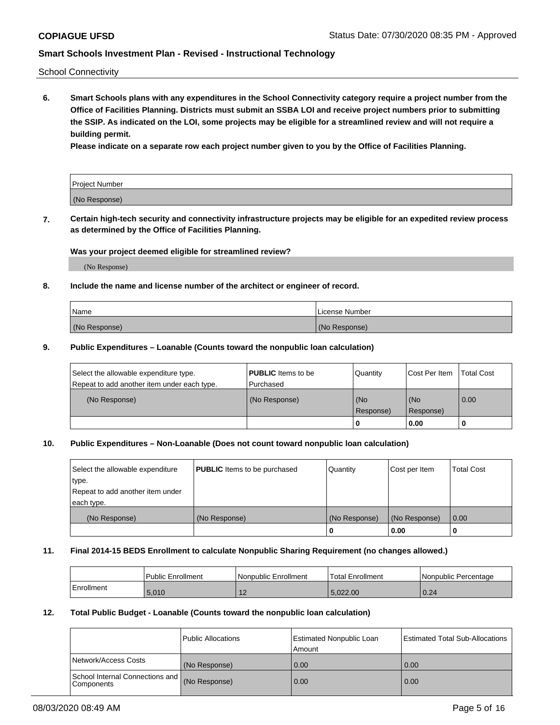School Connectivity

**6. Smart Schools plans with any expenditures in the School Connectivity category require a project number from the Office of Facilities Planning. Districts must submit an SSBA LOI and receive project numbers prior to submitting the SSIP. As indicated on the LOI, some projects may be eligible for a streamlined review and will not require a building permit.**

**Please indicate on a separate row each project number given to you by the Office of Facilities Planning.**

| Project Number |  |
|----------------|--|
| (No Response)  |  |

**7. Certain high-tech security and connectivity infrastructure projects may be eligible for an expedited review process as determined by the Office of Facilities Planning.**

#### **Was your project deemed eligible for streamlined review?**

(No Response)

### **8. Include the name and license number of the architect or engineer of record.**

| Name          | License Number |
|---------------|----------------|
| (No Response) | (No Response)  |

#### **9. Public Expenditures – Loanable (Counts toward the nonpublic loan calculation)**

| Select the allowable expenditure type.<br>Repeat to add another item under each type. | <b>PUBLIC</b> Items to be<br>l Purchased | Quantity           | Cost Per Item    | <b>Total Cost</b> |
|---------------------------------------------------------------------------------------|------------------------------------------|--------------------|------------------|-------------------|
| (No Response)                                                                         | (No Response)                            | l (No<br>Response) | (No<br>Response) | $\overline{0.00}$ |
|                                                                                       |                                          | 0                  | 0.00             |                   |

### **10. Public Expenditures – Non-Loanable (Does not count toward nonpublic loan calculation)**

| Select the allowable expenditure<br>type.<br>Repeat to add another item under<br>each type. | <b>PUBLIC</b> Items to be purchased | Quantity      | Cost per Item | <b>Total Cost</b> |
|---------------------------------------------------------------------------------------------|-------------------------------------|---------------|---------------|-------------------|
| (No Response)                                                                               | (No Response)                       | (No Response) | (No Response) | 0.00              |
|                                                                                             |                                     |               | 0.00          |                   |

#### **11. Final 2014-15 BEDS Enrollment to calculate Nonpublic Sharing Requirement (no changes allowed.)**

|            | Public Enrollment | l Nonpublic Enrollment | <b>Total Enrollment</b> | Nonpublic Percentage |
|------------|-------------------|------------------------|-------------------------|----------------------|
| Enrollment | 5.010             | ╶                      | ,022.00                 | 0.24                 |

### **12. Total Public Budget - Loanable (Counts toward the nonpublic loan calculation)**

|                                                      | Public Allocations | <b>Estimated Nonpublic Loan</b><br>Amount | Estimated Total Sub-Allocations |
|------------------------------------------------------|--------------------|-------------------------------------------|---------------------------------|
| Network/Access Costs                                 | (No Response)      | 0.00                                      | 0.00                            |
| School Internal Connections and<br><b>Components</b> | (No Response)      | 0.00                                      | 0.00                            |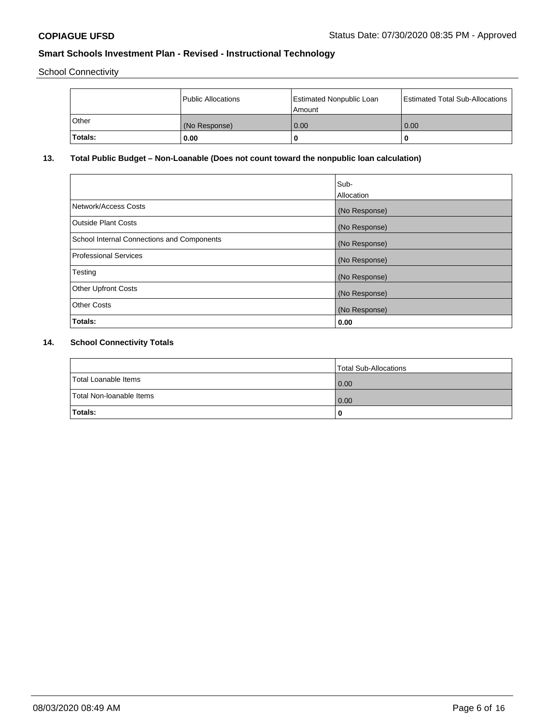School Connectivity

|                | Public Allocations | <b>Estimated Nonpublic Loan</b><br>l Amount | <b>Estimated Total Sub-Allocations</b> |
|----------------|--------------------|---------------------------------------------|----------------------------------------|
| <b>Other</b>   | (No Response)      | 0.00                                        | 0.00                                   |
| <b>Totals:</b> | 0.00               | 0                                           |                                        |

# **13. Total Public Budget – Non-Loanable (Does not count toward the nonpublic loan calculation)**

|                                                   | Sub-<br>Allocation |
|---------------------------------------------------|--------------------|
| Network/Access Costs                              | (No Response)      |
| <b>Outside Plant Costs</b>                        | (No Response)      |
| <b>School Internal Connections and Components</b> | (No Response)      |
| <b>Professional Services</b>                      | (No Response)      |
| Testing                                           | (No Response)      |
| <b>Other Upfront Costs</b>                        | (No Response)      |
| <b>Other Costs</b>                                | (No Response)      |
| Totals:                                           | 0.00               |

# **14. School Connectivity Totals**

|                          | Total Sub-Allocations |
|--------------------------|-----------------------|
| Total Loanable Items     | 0.00                  |
| Total Non-Ioanable Items | 0.00                  |
| Totals:                  | 0                     |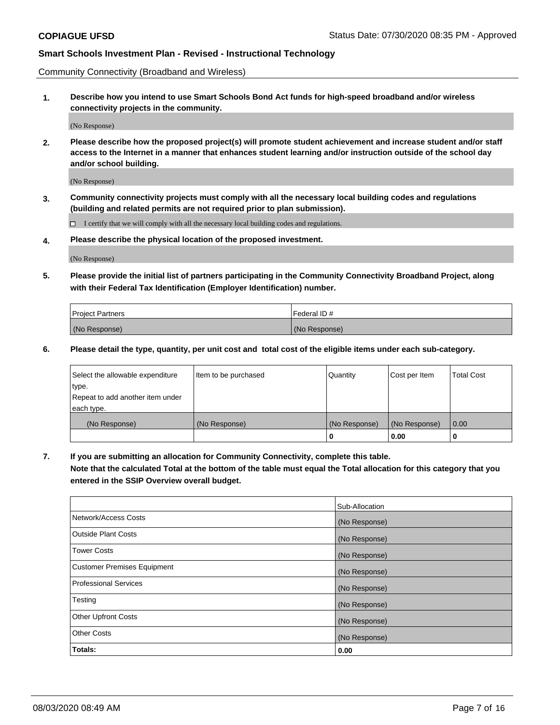Community Connectivity (Broadband and Wireless)

**1. Describe how you intend to use Smart Schools Bond Act funds for high-speed broadband and/or wireless connectivity projects in the community.**

(No Response)

**2. Please describe how the proposed project(s) will promote student achievement and increase student and/or staff access to the Internet in a manner that enhances student learning and/or instruction outside of the school day and/or school building.**

(No Response)

**3. Community connectivity projects must comply with all the necessary local building codes and regulations (building and related permits are not required prior to plan submission).**

 $\Box$  I certify that we will comply with all the necessary local building codes and regulations.

**4. Please describe the physical location of the proposed investment.**

(No Response)

**5. Please provide the initial list of partners participating in the Community Connectivity Broadband Project, along with their Federal Tax Identification (Employer Identification) number.**

| <b>Project Partners</b> | l Federal ID # |
|-------------------------|----------------|
| (No Response)           | (No Response)  |

**6. Please detail the type, quantity, per unit cost and total cost of the eligible items under each sub-category.**

| Select the allowable expenditure | Item to be purchased | Quantity      | Cost per Item | <b>Total Cost</b> |
|----------------------------------|----------------------|---------------|---------------|-------------------|
| type.                            |                      |               |               |                   |
| Repeat to add another item under |                      |               |               |                   |
| each type.                       |                      |               |               |                   |
| (No Response)                    | (No Response)        | (No Response) | (No Response) | 0.00              |
|                                  |                      | U             | 0.00          | -0                |

**7. If you are submitting an allocation for Community Connectivity, complete this table.**

**Note that the calculated Total at the bottom of the table must equal the Total allocation for this category that you entered in the SSIP Overview overall budget.**

|                                    | Sub-Allocation |
|------------------------------------|----------------|
| Network/Access Costs               | (No Response)  |
| Outside Plant Costs                | (No Response)  |
| <b>Tower Costs</b>                 | (No Response)  |
| <b>Customer Premises Equipment</b> | (No Response)  |
| <b>Professional Services</b>       | (No Response)  |
| Testing                            | (No Response)  |
| <b>Other Upfront Costs</b>         | (No Response)  |
| <b>Other Costs</b>                 | (No Response)  |
| Totals:                            | 0.00           |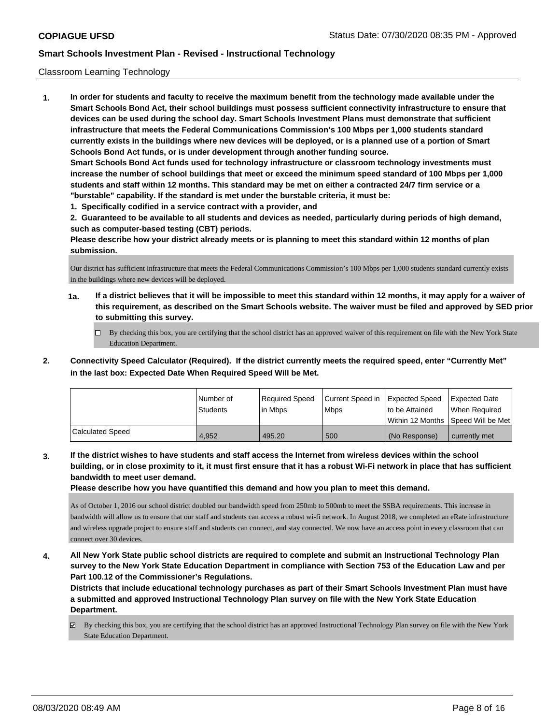### Classroom Learning Technology

**1. In order for students and faculty to receive the maximum benefit from the technology made available under the Smart Schools Bond Act, their school buildings must possess sufficient connectivity infrastructure to ensure that devices can be used during the school day. Smart Schools Investment Plans must demonstrate that sufficient infrastructure that meets the Federal Communications Commission's 100 Mbps per 1,000 students standard currently exists in the buildings where new devices will be deployed, or is a planned use of a portion of Smart Schools Bond Act funds, or is under development through another funding source. Smart Schools Bond Act funds used for technology infrastructure or classroom technology investments must increase the number of school buildings that meet or exceed the minimum speed standard of 100 Mbps per 1,000 students and staff within 12 months. This standard may be met on either a contracted 24/7 firm service or a "burstable" capability. If the standard is met under the burstable criteria, it must be:**

**1. Specifically codified in a service contract with a provider, and**

**2. Guaranteed to be available to all students and devices as needed, particularly during periods of high demand, such as computer-based testing (CBT) periods.**

**Please describe how your district already meets or is planning to meet this standard within 12 months of plan submission.**

Our district has sufficient infrastructure that meets the Federal Communications Commission's 100 Mbps per 1,000 students standard currently exists in the buildings where new devices will be deployed.

- **1a. If a district believes that it will be impossible to meet this standard within 12 months, it may apply for a waiver of this requirement, as described on the Smart Schools website. The waiver must be filed and approved by SED prior to submitting this survey.**
	- By checking this box, you are certifying that the school district has an approved waiver of this requirement on file with the New York State Education Department.
- **2. Connectivity Speed Calculator (Required). If the district currently meets the required speed, enter "Currently Met" in the last box: Expected Date When Required Speed Will be Met.**

|                         | l Number of<br><b>Students</b> | Required Speed<br>l in Mbps | Current Speed in<br>l Mbps | Expected Speed<br>to be Attained | <b>Expected Date</b><br>When Required<br> Within 12 Months  Speed Will be Met |
|-------------------------|--------------------------------|-----------------------------|----------------------------|----------------------------------|-------------------------------------------------------------------------------|
| <b>Calculated Speed</b> | 4.952                          | 495.20                      | 500                        | l (No Response)                  | currently met                                                                 |

**3. If the district wishes to have students and staff access the Internet from wireless devices within the school building, or in close proximity to it, it must first ensure that it has a robust Wi-Fi network in place that has sufficient bandwidth to meet user demand.**

**Please describe how you have quantified this demand and how you plan to meet this demand.**

As of October 1, 2016 our school district doubled our bandwidth speed from 250mb to 500mb to meet the SSBA requirements. This increase in bandwidth will allow us to ensure that our staff and students can access a robust wi-fi network. In August 2018, we completed an eRate infrastructure and wireless upgrade project to ensure staff and students can connect, and stay connected. We now have an access point in every classroom that can connect over 30 devices.

**4. All New York State public school districts are required to complete and submit an Instructional Technology Plan survey to the New York State Education Department in compliance with Section 753 of the Education Law and per Part 100.12 of the Commissioner's Regulations.**

**Districts that include educational technology purchases as part of their Smart Schools Investment Plan must have a submitted and approved Instructional Technology Plan survey on file with the New York State Education Department.**

By checking this box, you are certifying that the school district has an approved Instructional Technology Plan survey on file with the New York State Education Department.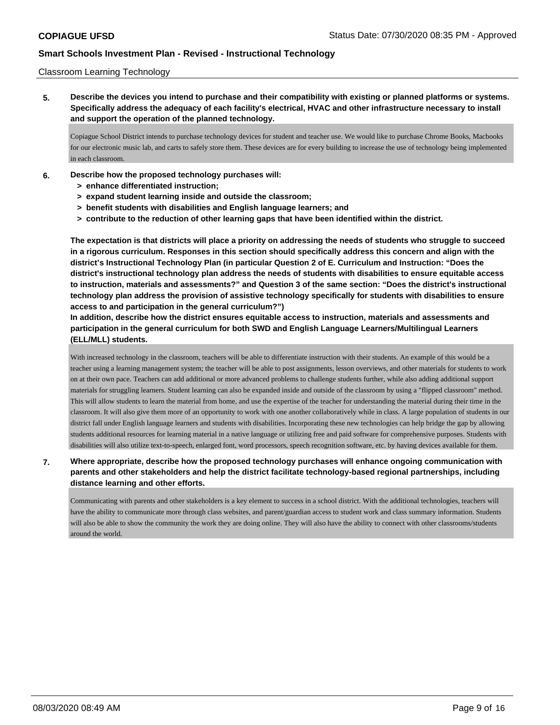### Classroom Learning Technology

**5. Describe the devices you intend to purchase and their compatibility with existing or planned platforms or systems. Specifically address the adequacy of each facility's electrical, HVAC and other infrastructure necessary to install and support the operation of the planned technology.**

Copiague School District intends to purchase technology devices for student and teacher use. We would like to purchase Chrome Books, Macbooks for our electronic music lab, and carts to safely store them. These devices are for every building to increase the use of technology being implemented in each classroom.

- **6. Describe how the proposed technology purchases will:**
	- **> enhance differentiated instruction;**
	- **> expand student learning inside and outside the classroom;**
	- **> benefit students with disabilities and English language learners; and**
	- **> contribute to the reduction of other learning gaps that have been identified within the district.**

**The expectation is that districts will place a priority on addressing the needs of students who struggle to succeed in a rigorous curriculum. Responses in this section should specifically address this concern and align with the district's Instructional Technology Plan (in particular Question 2 of E. Curriculum and Instruction: "Does the district's instructional technology plan address the needs of students with disabilities to ensure equitable access to instruction, materials and assessments?" and Question 3 of the same section: "Does the district's instructional technology plan address the provision of assistive technology specifically for students with disabilities to ensure access to and participation in the general curriculum?")**

**In addition, describe how the district ensures equitable access to instruction, materials and assessments and participation in the general curriculum for both SWD and English Language Learners/Multilingual Learners (ELL/MLL) students.**

With increased technology in the classroom, teachers will be able to differentiate instruction with their students. An example of this would be a teacher using a learning management system; the teacher will be able to post assignments, lesson overviews, and other materials for students to work on at their own pace. Teachers can add additional or more advanced problems to challenge students further, while also adding additional support materials for struggling learners. Student learning can also be expanded inside and outside of the classroom by using a "flipped classroom" method. This will allow students to learn the material from home, and use the expertise of the teacher for understanding the material during their time in the classroom. It will also give them more of an opportunity to work with one another collaboratively while in class. A large population of students in our district fall under English language learners and students with disabilities. Incorporating these new technologies can help bridge the gap by allowing students additional resources for learning material in a native language or utilizing free and paid software for comprehensive purposes. Students with disabilities will also utilize text-to-speech, enlarged font, word processors, speech recognition software, etc. by having devices available for them.

## **7. Where appropriate, describe how the proposed technology purchases will enhance ongoing communication with parents and other stakeholders and help the district facilitate technology-based regional partnerships, including distance learning and other efforts.**

Communicating with parents and other stakeholders is a key element to success in a school district. With the additional technologies, teachers will have the ability to communicate more through class websites, and parent/guardian access to student work and class summary information. Students will also be able to show the community the work they are doing online. They will also have the ability to connect with other classrooms/students around the world.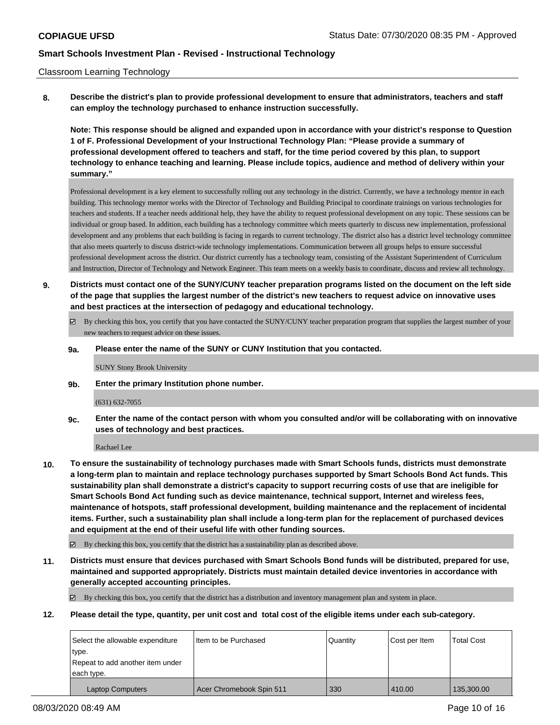### Classroom Learning Technology

**8. Describe the district's plan to provide professional development to ensure that administrators, teachers and staff can employ the technology purchased to enhance instruction successfully.**

**Note: This response should be aligned and expanded upon in accordance with your district's response to Question 1 of F. Professional Development of your Instructional Technology Plan: "Please provide a summary of professional development offered to teachers and staff, for the time period covered by this plan, to support technology to enhance teaching and learning. Please include topics, audience and method of delivery within your summary."**

Professional development is a key element to successfully rolling out any technology in the district. Currently, we have a technology mentor in each building. This technology mentor works with the Director of Technology and Building Principal to coordinate trainings on various technologies for teachers and students. If a teacher needs additional help, they have the ability to request professional development on any topic. These sessions can be individual or group based. In addition, each building has a technology committee which meets quarterly to discuss new implementation, professional development and any problems that each building is facing in regards to current technology. The district also has a district level technology committee that also meets quarterly to discuss district-wide technology implementations. Communication between all groups helps to ensure successful professional development across the district. Our district currently has a technology team, consisting of the Assistant Superintendent of Curriculum and Instruction, Director of Technology and Network Engineer. This team meets on a weekly basis to coordinate, discuss and review all technology.

- **9. Districts must contact one of the SUNY/CUNY teacher preparation programs listed on the document on the left side of the page that supplies the largest number of the district's new teachers to request advice on innovative uses and best practices at the intersection of pedagogy and educational technology.**
	- By checking this box, you certify that you have contacted the SUNY/CUNY teacher preparation program that supplies the largest number of your new teachers to request advice on these issues.
	- **9a. Please enter the name of the SUNY or CUNY Institution that you contacted.**

SUNY Stony Brook University

**9b. Enter the primary Institution phone number.**

(631) 632-7055

**9c. Enter the name of the contact person with whom you consulted and/or will be collaborating with on innovative uses of technology and best practices.**

Rachael Lee

**10. To ensure the sustainability of technology purchases made with Smart Schools funds, districts must demonstrate a long-term plan to maintain and replace technology purchases supported by Smart Schools Bond Act funds. This sustainability plan shall demonstrate a district's capacity to support recurring costs of use that are ineligible for Smart Schools Bond Act funding such as device maintenance, technical support, Internet and wireless fees, maintenance of hotspots, staff professional development, building maintenance and the replacement of incidental items. Further, such a sustainability plan shall include a long-term plan for the replacement of purchased devices and equipment at the end of their useful life with other funding sources.**

By checking this box, you certify that the district has a sustainability plan as described above.

**11. Districts must ensure that devices purchased with Smart Schools Bond funds will be distributed, prepared for use, maintained and supported appropriately. Districts must maintain detailed device inventories in accordance with generally accepted accounting principles.**

By checking this box, you certify that the district has a distribution and inventory management plan and system in place.

**12. Please detail the type, quantity, per unit cost and total cost of the eligible items under each sub-category.**

| Select the allowable expenditure | I Item to be Purchased   | l Quantitv | Cost per Item | <b>Total Cost</b> |
|----------------------------------|--------------------------|------------|---------------|-------------------|
| type.                            |                          |            |               |                   |
| Repeat to add another item under |                          |            |               |                   |
| each type.                       |                          |            |               |                   |
| <b>Laptop Computers</b>          | Acer Chromebook Spin 511 | 330        | 410.00        | 135,300.00        |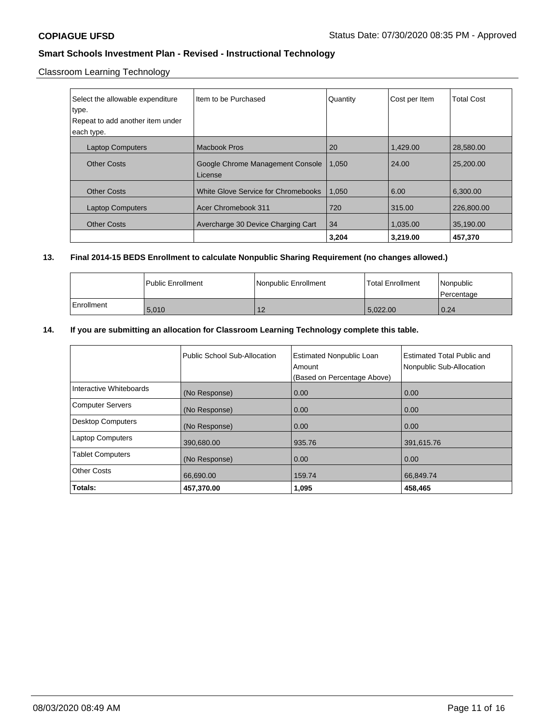Classroom Learning Technology

| Select the allowable expenditure<br>type.<br>Repeat to add another item under<br>each type. | Iltem to be Purchased                       | Quantity | Cost per Item | <b>Total Cost</b> |
|---------------------------------------------------------------------------------------------|---------------------------------------------|----------|---------------|-------------------|
| <b>Laptop Computers</b>                                                                     | Macbook Pros                                | 20       | 1,429.00      | 28,580.00         |
| <b>Other Costs</b>                                                                          | Google Chrome Management Console<br>License | 1.050    | 24.00         | 25,200,00         |
| <b>Other Costs</b>                                                                          | White Glove Service for Chromebooks         | 1,050    | 6.00          | 6,300.00          |
| <b>Laptop Computers</b>                                                                     | Acer Chromebook 311                         | 720      | 315.00        | 226,800.00        |
| <b>Other Costs</b>                                                                          | Avercharge 30 Device Charging Cart          | 34       | 1,035.00      | 35,190.00         |
|                                                                                             |                                             | 3.204    | 3.219.00      | 457.370           |

# **13. Final 2014-15 BEDS Enrollment to calculate Nonpublic Sharing Requirement (no changes allowed.)**

|              | Public Enrollment | Nonpublic Enrollment | Total Enrollment | Nonpublic<br>l Percentage |
|--------------|-------------------|----------------------|------------------|---------------------------|
| l Enrollment | 5,010             | 4 <sup>c</sup><br>ΙZ | 5.022.00         | 0.24                      |

## **14. If you are submitting an allocation for Classroom Learning Technology complete this table.**

|                          | Public School Sub-Allocation | <b>Estimated Nonpublic Loan</b><br>Amount<br>(Based on Percentage Above) | <b>Estimated Total Public and</b><br>Nonpublic Sub-Allocation |
|--------------------------|------------------------------|--------------------------------------------------------------------------|---------------------------------------------------------------|
| Interactive Whiteboards  | (No Response)                | 0.00                                                                     | 0.00                                                          |
| <b>Computer Servers</b>  | (No Response)                | 0.00                                                                     | 0.00                                                          |
| <b>Desktop Computers</b> | (No Response)                | 0.00                                                                     | 0.00                                                          |
| <b>Laptop Computers</b>  | 390,680.00                   | 935.76                                                                   | 391,615.76                                                    |
| <b>Tablet Computers</b>  | (No Response)                | 0.00                                                                     | 0.00                                                          |
| <b>Other Costs</b>       | 66,690.00                    | 159.74                                                                   | 66,849.74                                                     |
| Totals:                  | 457,370.00                   | 1,095                                                                    | 458,465                                                       |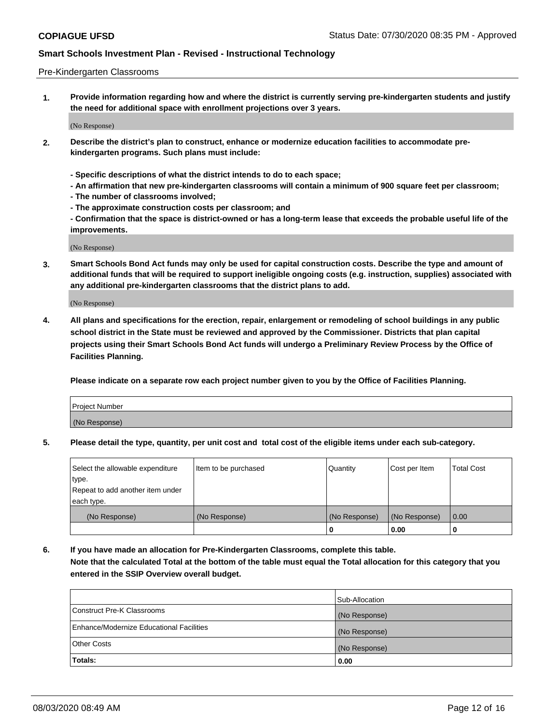#### Pre-Kindergarten Classrooms

**1. Provide information regarding how and where the district is currently serving pre-kindergarten students and justify the need for additional space with enrollment projections over 3 years.**

(No Response)

- **2. Describe the district's plan to construct, enhance or modernize education facilities to accommodate prekindergarten programs. Such plans must include:**
	- **Specific descriptions of what the district intends to do to each space;**
	- **An affirmation that new pre-kindergarten classrooms will contain a minimum of 900 square feet per classroom;**
	- **The number of classrooms involved;**
	- **The approximate construction costs per classroom; and**
	- **Confirmation that the space is district-owned or has a long-term lease that exceeds the probable useful life of the improvements.**

(No Response)

**3. Smart Schools Bond Act funds may only be used for capital construction costs. Describe the type and amount of additional funds that will be required to support ineligible ongoing costs (e.g. instruction, supplies) associated with any additional pre-kindergarten classrooms that the district plans to add.**

(No Response)

**4. All plans and specifications for the erection, repair, enlargement or remodeling of school buildings in any public school district in the State must be reviewed and approved by the Commissioner. Districts that plan capital projects using their Smart Schools Bond Act funds will undergo a Preliminary Review Process by the Office of Facilities Planning.**

**Please indicate on a separate row each project number given to you by the Office of Facilities Planning.**

| Project Number |  |
|----------------|--|
| (No Response)  |  |
|                |  |

**5. Please detail the type, quantity, per unit cost and total cost of the eligible items under each sub-category.**

| Select the allowable expenditure | Item to be purchased | Quantity      | Cost per Item | <b>Total Cost</b> |
|----------------------------------|----------------------|---------------|---------------|-------------------|
| type.                            |                      |               |               |                   |
| Repeat to add another item under |                      |               |               |                   |
| each type.                       |                      |               |               |                   |
| (No Response)                    | (No Response)        | (No Response) | (No Response) | 0.00              |
|                                  |                      | υ             | 0.00          |                   |

**6. If you have made an allocation for Pre-Kindergarten Classrooms, complete this table. Note that the calculated Total at the bottom of the table must equal the Total allocation for this category that you entered in the SSIP Overview overall budget.**

| Totals:                                  | 0.00           |
|------------------------------------------|----------------|
| <b>Other Costs</b>                       | (No Response)  |
| Enhance/Modernize Educational Facilities | (No Response)  |
| Construct Pre-K Classrooms               | (No Response)  |
|                                          | Sub-Allocation |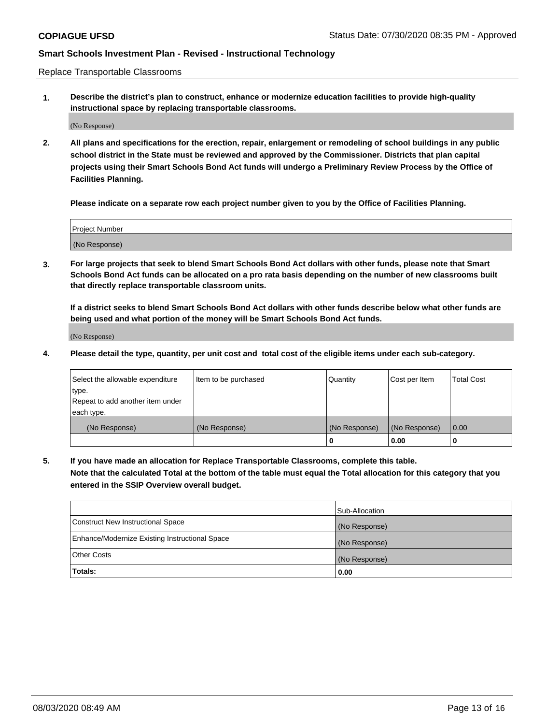Replace Transportable Classrooms

**1. Describe the district's plan to construct, enhance or modernize education facilities to provide high-quality instructional space by replacing transportable classrooms.**

(No Response)

**2. All plans and specifications for the erection, repair, enlargement or remodeling of school buildings in any public school district in the State must be reviewed and approved by the Commissioner. Districts that plan capital projects using their Smart Schools Bond Act funds will undergo a Preliminary Review Process by the Office of Facilities Planning.**

**Please indicate on a separate row each project number given to you by the Office of Facilities Planning.**

| Project Number |  |
|----------------|--|
|                |  |
|                |  |
|                |  |
|                |  |
| (No Response)  |  |
|                |  |
|                |  |
|                |  |

**3. For large projects that seek to blend Smart Schools Bond Act dollars with other funds, please note that Smart Schools Bond Act funds can be allocated on a pro rata basis depending on the number of new classrooms built that directly replace transportable classroom units.**

**If a district seeks to blend Smart Schools Bond Act dollars with other funds describe below what other funds are being used and what portion of the money will be Smart Schools Bond Act funds.**

(No Response)

**4. Please detail the type, quantity, per unit cost and total cost of the eligible items under each sub-category.**

| Select the allowable expenditure | Item to be purchased | Quantity      | Cost per Item | Total Cost |
|----------------------------------|----------------------|---------------|---------------|------------|
| ∣type.                           |                      |               |               |            |
| Repeat to add another item under |                      |               |               |            |
| each type.                       |                      |               |               |            |
| (No Response)                    | (No Response)        | (No Response) | (No Response) | 0.00       |
|                                  |                      | u             | 0.00          |            |

**5. If you have made an allocation for Replace Transportable Classrooms, complete this table. Note that the calculated Total at the bottom of the table must equal the Total allocation for this category that you entered in the SSIP Overview overall budget.**

|                                                | Sub-Allocation |
|------------------------------------------------|----------------|
| Construct New Instructional Space              | (No Response)  |
| Enhance/Modernize Existing Instructional Space | (No Response)  |
| <b>Other Costs</b>                             | (No Response)  |
| Totals:                                        | 0.00           |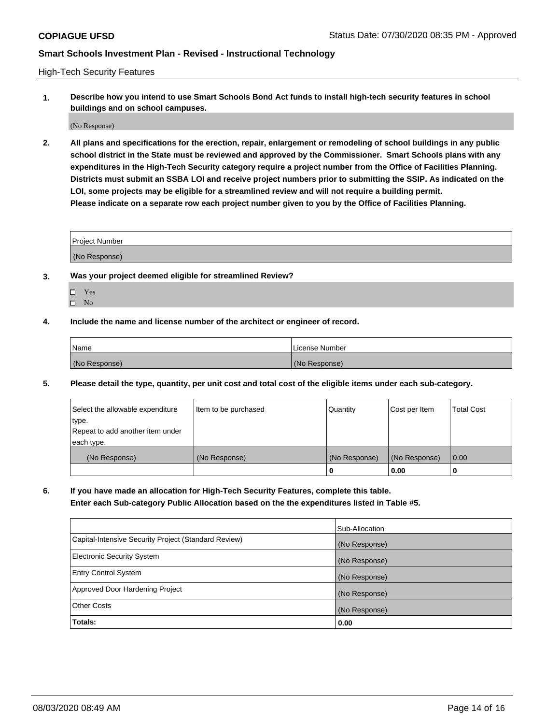High-Tech Security Features

**1. Describe how you intend to use Smart Schools Bond Act funds to install high-tech security features in school buildings and on school campuses.**

(No Response)

**2. All plans and specifications for the erection, repair, enlargement or remodeling of school buildings in any public school district in the State must be reviewed and approved by the Commissioner. Smart Schools plans with any expenditures in the High-Tech Security category require a project number from the Office of Facilities Planning. Districts must submit an SSBA LOI and receive project numbers prior to submitting the SSIP. As indicated on the LOI, some projects may be eligible for a streamlined review and will not require a building permit. Please indicate on a separate row each project number given to you by the Office of Facilities Planning.**

| <b>Project Number</b> |  |
|-----------------------|--|
|                       |  |
| (No Response)         |  |

- **3. Was your project deemed eligible for streamlined Review?**
	- Yes
	- $\hfill \square$  No
- **4. Include the name and license number of the architect or engineer of record.**

| Name          | License Number |
|---------------|----------------|
| (No Response) | (No Response)  |

**5. Please detail the type, quantity, per unit cost and total cost of the eligible items under each sub-category.**

| Select the allowable expenditure | Item to be purchased | Quantity      | Cost per Item | <b>Total Cost</b> |
|----------------------------------|----------------------|---------------|---------------|-------------------|
| type.                            |                      |               |               |                   |
| Repeat to add another item under |                      |               |               |                   |
| each type.                       |                      |               |               |                   |
| (No Response)                    | (No Response)        | (No Response) | (No Response) | 0.00              |
|                                  |                      | 0             | 0.00          |                   |

**6. If you have made an allocation for High-Tech Security Features, complete this table.**

**Enter each Sub-category Public Allocation based on the the expenditures listed in Table #5.**

|                                                      | Sub-Allocation |
|------------------------------------------------------|----------------|
| Capital-Intensive Security Project (Standard Review) | (No Response)  |
| <b>Electronic Security System</b>                    | (No Response)  |
| <b>Entry Control System</b>                          | (No Response)  |
| Approved Door Hardening Project                      | (No Response)  |
| <b>Other Costs</b>                                   | (No Response)  |
| Totals:                                              | 0.00           |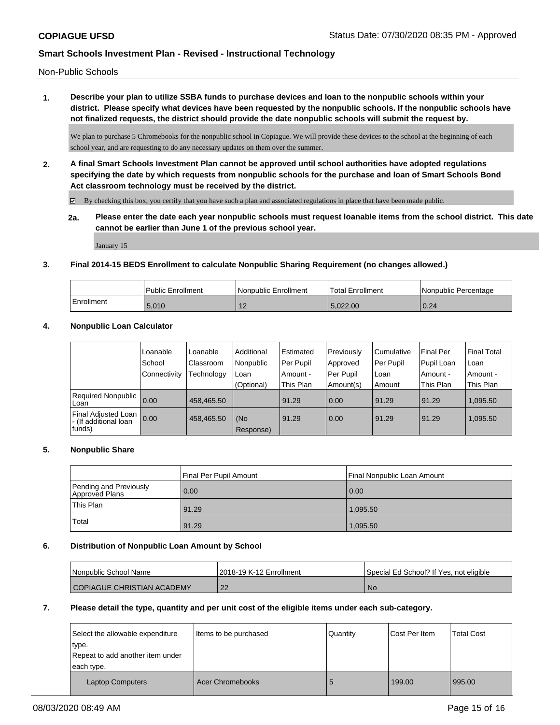Non-Public Schools

**1. Describe your plan to utilize SSBA funds to purchase devices and loan to the nonpublic schools within your district. Please specify what devices have been requested by the nonpublic schools. If the nonpublic schools have not finalized requests, the district should provide the date nonpublic schools will submit the request by.**

We plan to purchase 5 Chromebooks for the nonpublic school in Copiague. We will provide these devices to the school at the beginning of each school year, and are requesting to do any necessary updates on them over the summer.

**2. A final Smart Schools Investment Plan cannot be approved until school authorities have adopted regulations specifying the date by which requests from nonpublic schools for the purchase and loan of Smart Schools Bond Act classroom technology must be received by the district.**

 $\boxtimes$  By checking this box, you certify that you have such a plan and associated regulations in place that have been made public.

**2a. Please enter the date each year nonpublic schools must request loanable items from the school district. This date cannot be earlier than June 1 of the previous school year.**

January 15

### **3. Final 2014-15 BEDS Enrollment to calculate Nonpublic Sharing Requirement (no changes allowed.)**

|            | Public Enrollment | Nonpublic Enrollment | <sup>1</sup> Total Enrollment | Nonpublic Percentage |
|------------|-------------------|----------------------|-------------------------------|----------------------|
| Enrollment | 5.010             | . .                  | 5.022.00                      | 0.24                 |

### **4. Nonpublic Loan Calculator**

|                                                          | Loanable     | Loanable   | Additional       | Estimated | Previously | Cumulative | <b>Final Per</b> | Final Total |
|----------------------------------------------------------|--------------|------------|------------------|-----------|------------|------------|------------------|-------------|
|                                                          | School       | Classroom  | Nonpublic        | Per Pupil | Approved   | Per Pupil  | Pupil Loan       | ∣Loan       |
|                                                          | Connectivity | Technology | Loan             | Amount -  | Per Pupil  | Loan       | Amount -         | Amount -    |
|                                                          |              |            | (Optional)       | This Plan | Amount(s)  | Amount     | This Plan        | This Plan   |
| <b>Required Nonpublic</b><br>Loan                        | 0.00         | 458.465.50 |                  | 91.29     | 0.00       | 91.29      | 91.29            | 1.095.50    |
| Final Adjusted Loan<br>I - (If additional loan<br>funds) | 0.00         | 458,465.50 | (No<br>Response) | 91.29     | 0.00       | 91.29      | 91.29            | 1,095.50    |

### **5. Nonpublic Share**

|                                          | Final Per Pupil Amount | Final Nonpublic Loan Amount |
|------------------------------------------|------------------------|-----------------------------|
| Pending and Previously<br>Approved Plans | 0.00                   | 0.00                        |
| 'This Plan                               | 91.29                  | 1.095.50                    |
| Total                                    | 91.29                  | 1,095.50                    |

### **6. Distribution of Nonpublic Loan Amount by School**

| l Nonpublic School Name    | 12018-19 K-12 Enrollment | Special Ed School? If Yes, not eligible |
|----------------------------|--------------------------|-----------------------------------------|
| COPIAGUE CHRISTIAN ACADEMY | ററ                       | ' No                                    |

### **7. Please detail the type, quantity and per unit cost of the eligible items under each sub-category.**

| Select the allowable expenditure<br>type.<br>Repeat to add another item under<br>each type. | Items to be purchased   | Quantity | Cost Per Item | <b>Total Cost</b> |
|---------------------------------------------------------------------------------------------|-------------------------|----------|---------------|-------------------|
| <b>Laptop Computers</b>                                                                     | <b>Acer Chromebooks</b> |          | 199.00        | 995.00            |